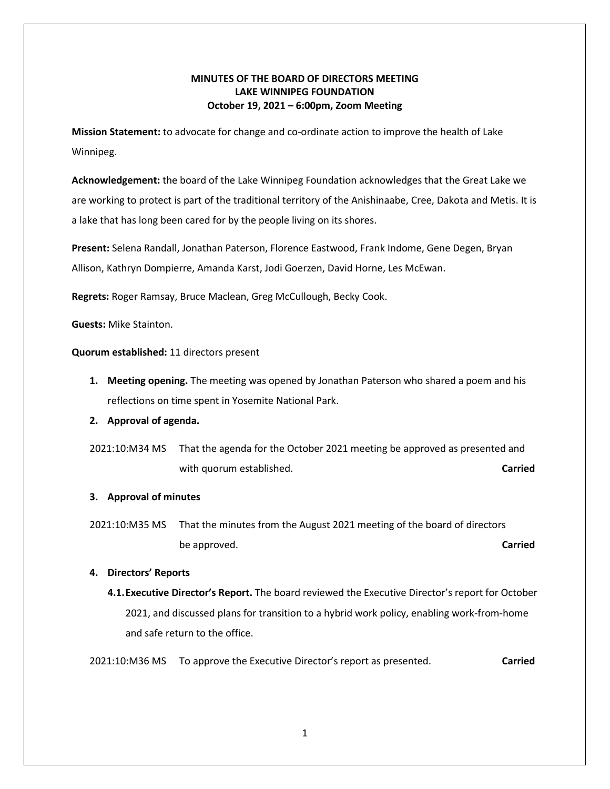# **MINUTES OF THE BOARD OF DIRECTORS MEETING LAKE WINNIPEG FOUNDATION October 19, 2021 – 6:00pm, Zoom Meeting**

**Mission Statement:** to advocate for change and co-ordinate action to improve the health of Lake Winnipeg.

**Acknowledgement:** the board of the Lake Winnipeg Foundation acknowledges that the Great Lake we are working to protect is part of the traditional territory of the Anishinaabe, Cree, Dakota and Metis. It is a lake that has long been cared for by the people living on its shores.

**Present:** Selena Randall, Jonathan Paterson, Florence Eastwood, Frank Indome, Gene Degen, Bryan Allison, Kathryn Dompierre, Amanda Karst, Jodi Goerzen, David Horne, Les McEwan.

**Regrets:** Roger Ramsay, Bruce Maclean, Greg McCullough, Becky Cook.

**Guests:** Mike Stainton.

**Quorum established:** 11 directors present

- **1. Meeting opening.** The meeting was opened by Jonathan Paterson who shared a poem and his reflections on time spent in Yosemite National Park.
- **2. Approval of agenda.**
- 2021:10:M34 MS That the agenda for the October 2021 meeting be approved as presented and with quorum established. **Carried Carried Carried Carried**

## **3. Approval of minutes**

2021:10:M35 MS That the minutes from the August 2021 meeting of the board of directors be approved. **Carried**

## **4. Directors' Reports**

**4.1.Executive Director's Report.** The board reviewed the Executive Director's report for October 2021, and discussed plans for transition to a hybrid work policy, enabling work-from-home and safe return to the office.

2021:10:M36 MS To approve the Executive Director's report as presented. **Carried**